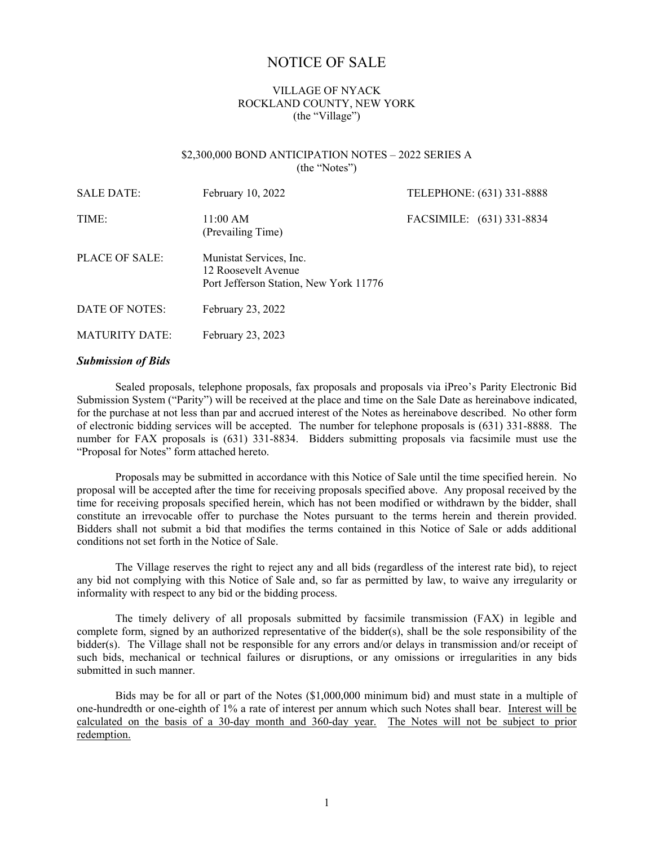# NOTICE OF SALE

# VILLAGE OF NYACK ROCKLAND COUNTY, NEW YORK (the "Village")

#### \$2,300,000 BOND ANTICIPATION NOTES – 2022 SERIES A (the "Notes")

| <b>SALE DATE:</b>     | February 10, 2022<br>TELEPHONE: (631) 331-8888                                           |                           |
|-----------------------|------------------------------------------------------------------------------------------|---------------------------|
| TIME:                 | 11:00 AM<br>(Prevailing Time)                                                            | FACSIMILE: (631) 331-8834 |
| PLACE OF SALE:        | Munistat Services, Inc.<br>12 Roosevelt Avenue<br>Port Jefferson Station, New York 11776 |                           |
| DATE OF NOTES:        | February 23, 2022                                                                        |                           |
| <b>MATURITY DATE:</b> | February 23, 2023                                                                        |                           |

#### *Submission of Bids*

Sealed proposals, telephone proposals, fax proposals and proposals via iPreo's Parity Electronic Bid Submission System ("Parity") will be received at the place and time on the Sale Date as hereinabove indicated, for the purchase at not less than par and accrued interest of the Notes as hereinabove described. No other form of electronic bidding services will be accepted. The number for telephone proposals is (631) 331-8888. The number for FAX proposals is (631) 331-8834. Bidders submitting proposals via facsimile must use the "Proposal for Notes" form attached hereto.

Proposals may be submitted in accordance with this Notice of Sale until the time specified herein. No proposal will be accepted after the time for receiving proposals specified above. Any proposal received by the time for receiving proposals specified herein, which has not been modified or withdrawn by the bidder, shall constitute an irrevocable offer to purchase the Notes pursuant to the terms herein and therein provided. Bidders shall not submit a bid that modifies the terms contained in this Notice of Sale or adds additional conditions not set forth in the Notice of Sale.

The Village reserves the right to reject any and all bids (regardless of the interest rate bid), to reject any bid not complying with this Notice of Sale and, so far as permitted by law, to waive any irregularity or informality with respect to any bid or the bidding process.

The timely delivery of all proposals submitted by facsimile transmission (FAX) in legible and complete form, signed by an authorized representative of the bidder(s), shall be the sole responsibility of the bidder(s). The Village shall not be responsible for any errors and/or delays in transmission and/or receipt of such bids, mechanical or technical failures or disruptions, or any omissions or irregularities in any bids submitted in such manner.

Bids may be for all or part of the Notes (\$1,000,000 minimum bid) and must state in a multiple of one-hundredth or one-eighth of 1% a rate of interest per annum which such Notes shall bear. Interest will be calculated on the basis of a 30-day month and 360-day year. The Notes will not be subject to prior redemption.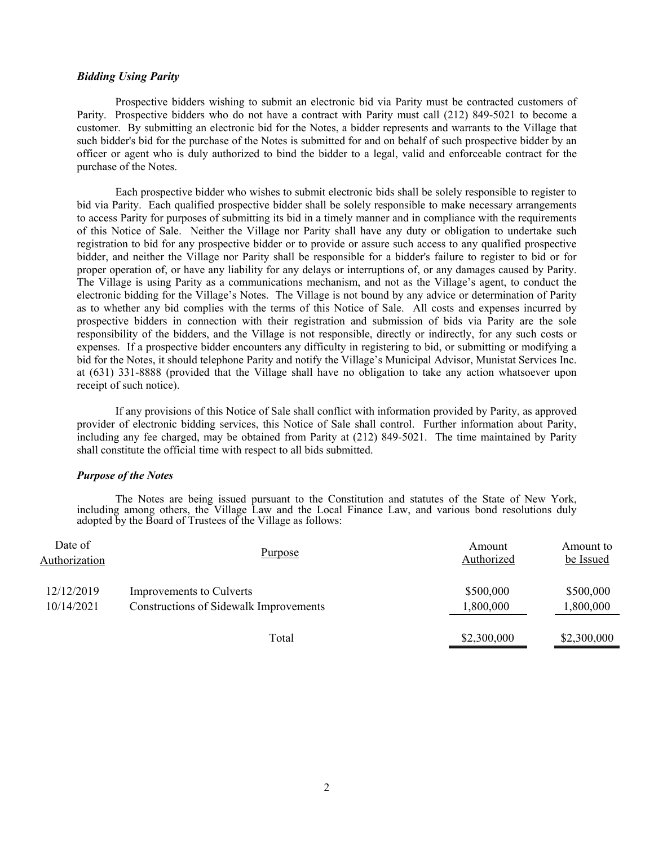## *Bidding Using Parity*

Prospective bidders wishing to submit an electronic bid via Parity must be contracted customers of Parity. Prospective bidders who do not have a contract with Parity must call (212) 849-5021 to become a customer. By submitting an electronic bid for the Notes, a bidder represents and warrants to the Village that such bidder's bid for the purchase of the Notes is submitted for and on behalf of such prospective bidder by an officer or agent who is duly authorized to bind the bidder to a legal, valid and enforceable contract for the purchase of the Notes.

Each prospective bidder who wishes to submit electronic bids shall be solely responsible to register to bid via Parity. Each qualified prospective bidder shall be solely responsible to make necessary arrangements to access Parity for purposes of submitting its bid in a timely manner and in compliance with the requirements of this Notice of Sale. Neither the Village nor Parity shall have any duty or obligation to undertake such registration to bid for any prospective bidder or to provide or assure such access to any qualified prospective bidder, and neither the Village nor Parity shall be responsible for a bidder's failure to register to bid or for proper operation of, or have any liability for any delays or interruptions of, or any damages caused by Parity. The Village is using Parity as a communications mechanism, and not as the Village's agent, to conduct the electronic bidding for the Village's Notes. The Village is not bound by any advice or determination of Parity as to whether any bid complies with the terms of this Notice of Sale. All costs and expenses incurred by prospective bidders in connection with their registration and submission of bids via Parity are the sole responsibility of the bidders, and the Village is not responsible, directly or indirectly, for any such costs or expenses. If a prospective bidder encounters any difficulty in registering to bid, or submitting or modifying a bid for the Notes, it should telephone Parity and notify the Village's Municipal Advisor, Munistat Services Inc. at (631) 331-8888 (provided that the Village shall have no obligation to take any action whatsoever upon receipt of such notice).

If any provisions of this Notice of Sale shall conflict with information provided by Parity, as approved provider of electronic bidding services, this Notice of Sale shall control. Further information about Parity, including any fee charged, may be obtained from Parity at (212) 849-5021. The time maintained by Parity shall constitute the official time with respect to all bids submitted.

### *Purpose of the Notes*

 The Notes are being issued pursuant to the Constitution and statutes of the State of New York, including among others, the Village Law and the Local Finance Law, and various bond resolutions duly adopted by the Board of Trustees of the Village as follows:

| Date of<br>Authorization | Purpose                                | Amount<br>Authorized | Amount to<br>be Issued |
|--------------------------|----------------------------------------|----------------------|------------------------|
| 12/12/2019               | Improvements to Culverts               | \$500,000            | \$500,000              |
| 10/14/2021               | Constructions of Sidewalk Improvements | 1,800,000            | 1,800,000              |
|                          | Total                                  | \$2,300,000          | \$2,300,000            |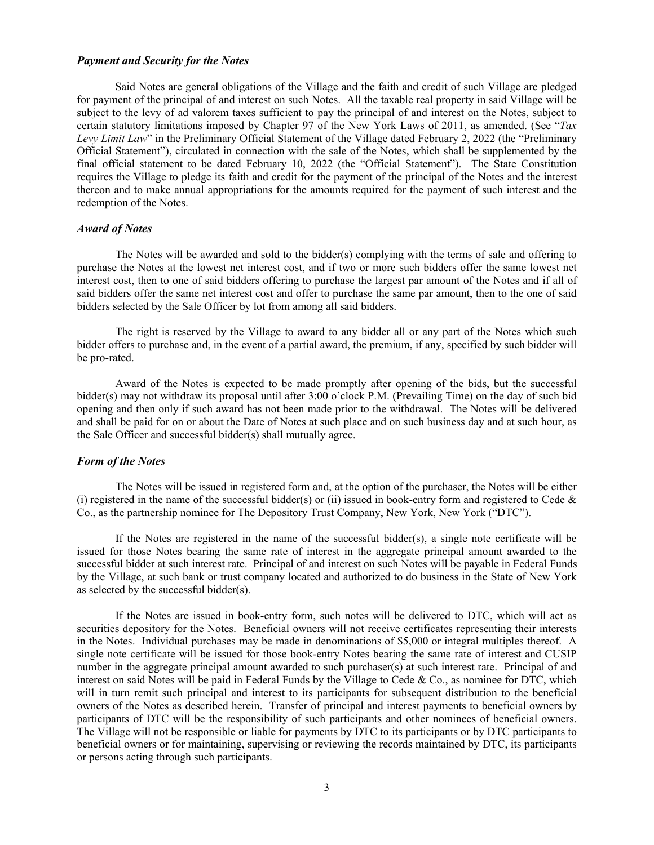#### *Payment and Security for the Notes*

Said Notes are general obligations of the Village and the faith and credit of such Village are pledged for payment of the principal of and interest on such Notes. All the taxable real property in said Village will be subject to the levy of ad valorem taxes sufficient to pay the principal of and interest on the Notes, subject to certain statutory limitations imposed by Chapter 97 of the New York Laws of 2011, as amended. (See "*Tax Levy Limit Law*" in the Preliminary Official Statement of the Village dated February 2, 2022 (the "Preliminary Official Statement"), circulated in connection with the sale of the Notes, which shall be supplemented by the final official statement to be dated February 10, 2022 (the "Official Statement"). The State Constitution requires the Village to pledge its faith and credit for the payment of the principal of the Notes and the interest thereon and to make annual appropriations for the amounts required for the payment of such interest and the redemption of the Notes.

# *Award of Notes*

The Notes will be awarded and sold to the bidder(s) complying with the terms of sale and offering to purchase the Notes at the lowest net interest cost, and if two or more such bidders offer the same lowest net interest cost, then to one of said bidders offering to purchase the largest par amount of the Notes and if all of said bidders offer the same net interest cost and offer to purchase the same par amount, then to the one of said bidders selected by the Sale Officer by lot from among all said bidders.

The right is reserved by the Village to award to any bidder all or any part of the Notes which such bidder offers to purchase and, in the event of a partial award, the premium, if any, specified by such bidder will be pro-rated.

Award of the Notes is expected to be made promptly after opening of the bids, but the successful bidder(s) may not withdraw its proposal until after 3:00 o'clock P.M. (Prevailing Time) on the day of such bid opening and then only if such award has not been made prior to the withdrawal. The Notes will be delivered and shall be paid for on or about the Date of Notes at such place and on such business day and at such hour, as the Sale Officer and successful bidder(s) shall mutually agree.

#### *Form of the Notes*

The Notes will be issued in registered form and, at the option of the purchaser, the Notes will be either (i) registered in the name of the successful bidder(s) or (ii) issued in book-entry form and registered to Cede  $\&$ Co., as the partnership nominee for The Depository Trust Company, New York, New York ("DTC").

If the Notes are registered in the name of the successful bidder(s), a single note certificate will be issued for those Notes bearing the same rate of interest in the aggregate principal amount awarded to the successful bidder at such interest rate. Principal of and interest on such Notes will be payable in Federal Funds by the Village, at such bank or trust company located and authorized to do business in the State of New York as selected by the successful bidder(s).

If the Notes are issued in book-entry form, such notes will be delivered to DTC, which will act as securities depository for the Notes. Beneficial owners will not receive certificates representing their interests in the Notes. Individual purchases may be made in denominations of \$5,000 or integral multiples thereof. A single note certificate will be issued for those book-entry Notes bearing the same rate of interest and CUSIP number in the aggregate principal amount awarded to such purchaser(s) at such interest rate. Principal of and interest on said Notes will be paid in Federal Funds by the Village to Cede & Co., as nominee for DTC, which will in turn remit such principal and interest to its participants for subsequent distribution to the beneficial owners of the Notes as described herein. Transfer of principal and interest payments to beneficial owners by participants of DTC will be the responsibility of such participants and other nominees of beneficial owners. The Village will not be responsible or liable for payments by DTC to its participants or by DTC participants to beneficial owners or for maintaining, supervising or reviewing the records maintained by DTC, its participants or persons acting through such participants.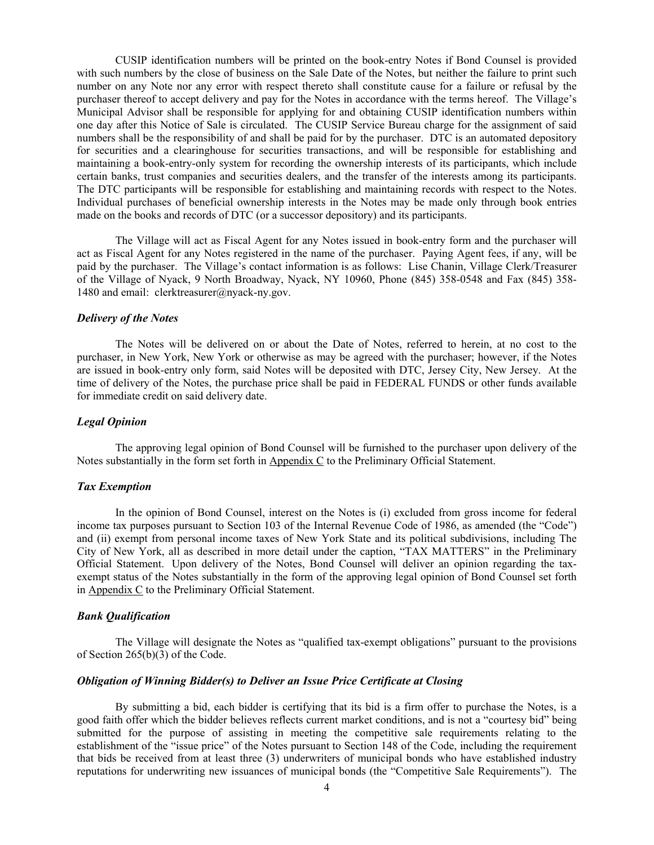CUSIP identification numbers will be printed on the book-entry Notes if Bond Counsel is provided with such numbers by the close of business on the Sale Date of the Notes, but neither the failure to print such number on any Note nor any error with respect thereto shall constitute cause for a failure or refusal by the purchaser thereof to accept delivery and pay for the Notes in accordance with the terms hereof. The Village's Municipal Advisor shall be responsible for applying for and obtaining CUSIP identification numbers within one day after this Notice of Sale is circulated. The CUSIP Service Bureau charge for the assignment of said numbers shall be the responsibility of and shall be paid for by the purchaser. DTC is an automated depository for securities and a clearinghouse for securities transactions, and will be responsible for establishing and maintaining a book-entry-only system for recording the ownership interests of its participants, which include certain banks, trust companies and securities dealers, and the transfer of the interests among its participants. The DTC participants will be responsible for establishing and maintaining records with respect to the Notes. Individual purchases of beneficial ownership interests in the Notes may be made only through book entries made on the books and records of DTC (or a successor depository) and its participants.

The Village will act as Fiscal Agent for any Notes issued in book-entry form and the purchaser will act as Fiscal Agent for any Notes registered in the name of the purchaser. Paying Agent fees, if any, will be paid by the purchaser. The Village's contact information is as follows: Lise Chanin, Village Clerk/Treasurer of the Village of Nyack, 9 North Broadway, Nyack, NY 10960, Phone (845) 358-0548 and Fax (845) 358- 1480 and email: clerktreasurer@nyack-ny.gov.

#### *Delivery of the Notes*

The Notes will be delivered on or about the Date of Notes, referred to herein, at no cost to the purchaser, in New York, New York or otherwise as may be agreed with the purchaser; however, if the Notes are issued in book-entry only form, said Notes will be deposited with DTC, Jersey City, New Jersey. At the time of delivery of the Notes, the purchase price shall be paid in FEDERAL FUNDS or other funds available for immediate credit on said delivery date.

# *Legal Opinion*

The approving legal opinion of Bond Counsel will be furnished to the purchaser upon delivery of the Notes substantially in the form set forth in  $\Delta p$  and  $\Delta \text{C}$  to the Preliminary Official Statement.

#### *Tax Exemption*

In the opinion of Bond Counsel, interest on the Notes is (i) excluded from gross income for federal income tax purposes pursuant to Section 103 of the Internal Revenue Code of 1986, as amended (the "Code") and (ii) exempt from personal income taxes of New York State and its political subdivisions, including The City of New York, all as described in more detail under the caption, "TAX MATTERS" in the Preliminary Official Statement. Upon delivery of the Notes, Bond Counsel will deliver an opinion regarding the taxexempt status of the Notes substantially in the form of the approving legal opinion of Bond Counsel set forth in Appendix C to the Preliminary Official Statement.

#### *Bank Qualification*

The Village will designate the Notes as "qualified tax-exempt obligations" pursuant to the provisions of Section 265(b)(3) of the Code.

#### *Obligation of Winning Bidder(s) to Deliver an Issue Price Certificate at Closing*

By submitting a bid, each bidder is certifying that its bid is a firm offer to purchase the Notes, is a good faith offer which the bidder believes reflects current market conditions, and is not a "courtesy bid" being submitted for the purpose of assisting in meeting the competitive sale requirements relating to the establishment of the "issue price" of the Notes pursuant to Section 148 of the Code, including the requirement that bids be received from at least three (3) underwriters of municipal bonds who have established industry reputations for underwriting new issuances of municipal bonds (the "Competitive Sale Requirements"). The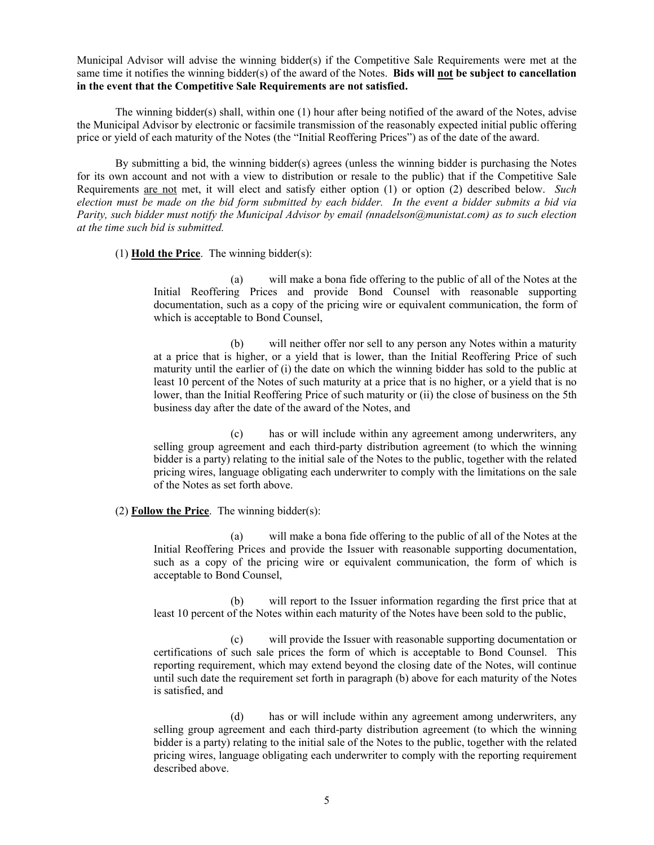Municipal Advisor will advise the winning bidder(s) if the Competitive Sale Requirements were met at the same time it notifies the winning bidder(s) of the award of the Notes. **Bids will not be subject to cancellation in the event that the Competitive Sale Requirements are not satisfied.**

The winning bidder(s) shall, within one (1) hour after being notified of the award of the Notes, advise the Municipal Advisor by electronic or facsimile transmission of the reasonably expected initial public offering price or yield of each maturity of the Notes (the "Initial Reoffering Prices") as of the date of the award.

By submitting a bid, the winning bidder(s) agrees (unless the winning bidder is purchasing the Notes for its own account and not with a view to distribution or resale to the public) that if the Competitive Sale Requirements are not met, it will elect and satisfy either option (1) or option (2) described below. *Such election must be made on the bid form submitted by each bidder. In the event a bidder submits a bid via Parity, such bidder must notify the Municipal Advisor by email (nnadelson@munistat.com) as to such election at the time such bid is submitted.* 

#### (1) **Hold the Price**. The winning bidder(s):

(a) will make a bona fide offering to the public of all of the Notes at the Initial Reoffering Prices and provide Bond Counsel with reasonable supporting documentation, such as a copy of the pricing wire or equivalent communication, the form of which is acceptable to Bond Counsel,

(b) will neither offer nor sell to any person any Notes within a maturity at a price that is higher, or a yield that is lower, than the Initial Reoffering Price of such maturity until the earlier of (i) the date on which the winning bidder has sold to the public at least 10 percent of the Notes of such maturity at a price that is no higher, or a yield that is no lower, than the Initial Reoffering Price of such maturity or (ii) the close of business on the 5th business day after the date of the award of the Notes, and

(c) has or will include within any agreement among underwriters, any selling group agreement and each third-party distribution agreement (to which the winning bidder is a party) relating to the initial sale of the Notes to the public, together with the related pricing wires, language obligating each underwriter to comply with the limitations on the sale of the Notes as set forth above.

## (2) **Follow the Price**. The winning bidder(s):

(a) will make a bona fide offering to the public of all of the Notes at the Initial Reoffering Prices and provide the Issuer with reasonable supporting documentation, such as a copy of the pricing wire or equivalent communication, the form of which is acceptable to Bond Counsel,

(b) will report to the Issuer information regarding the first price that at least 10 percent of the Notes within each maturity of the Notes have been sold to the public,

(c) will provide the Issuer with reasonable supporting documentation or certifications of such sale prices the form of which is acceptable to Bond Counsel. This reporting requirement, which may extend beyond the closing date of the Notes, will continue until such date the requirement set forth in paragraph (b) above for each maturity of the Notes is satisfied, and

(d) has or will include within any agreement among underwriters, any selling group agreement and each third-party distribution agreement (to which the winning bidder is a party) relating to the initial sale of the Notes to the public, together with the related pricing wires, language obligating each underwriter to comply with the reporting requirement described above.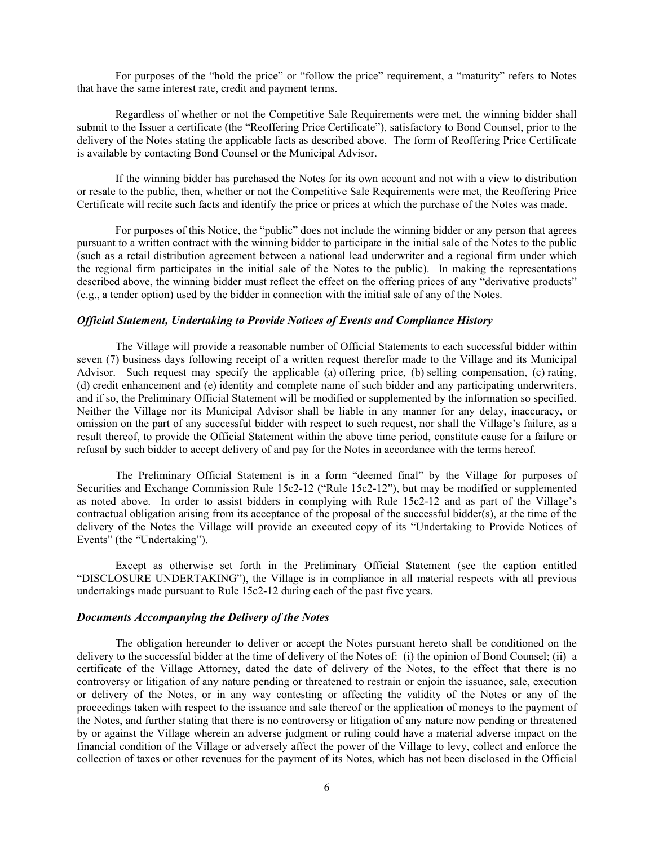For purposes of the "hold the price" or "follow the price" requirement, a "maturity" refers to Notes that have the same interest rate, credit and payment terms.

Regardless of whether or not the Competitive Sale Requirements were met, the winning bidder shall submit to the Issuer a certificate (the "Reoffering Price Certificate"), satisfactory to Bond Counsel, prior to the delivery of the Notes stating the applicable facts as described above. The form of Reoffering Price Certificate is available by contacting Bond Counsel or the Municipal Advisor.

If the winning bidder has purchased the Notes for its own account and not with a view to distribution or resale to the public, then, whether or not the Competitive Sale Requirements were met, the Reoffering Price Certificate will recite such facts and identify the price or prices at which the purchase of the Notes was made.

For purposes of this Notice, the "public" does not include the winning bidder or any person that agrees pursuant to a written contract with the winning bidder to participate in the initial sale of the Notes to the public (such as a retail distribution agreement between a national lead underwriter and a regional firm under which the regional firm participates in the initial sale of the Notes to the public). In making the representations described above, the winning bidder must reflect the effect on the offering prices of any "derivative products" (e.g., a tender option) used by the bidder in connection with the initial sale of any of the Notes.

#### *Official Statement, Undertaking to Provide Notices of Events and Compliance History*

The Village will provide a reasonable number of Official Statements to each successful bidder within seven (7) business days following receipt of a written request therefor made to the Village and its Municipal Advisor. Such request may specify the applicable (a) offering price, (b) selling compensation, (c) rating, (d) credit enhancement and (e) identity and complete name of such bidder and any participating underwriters, and if so, the Preliminary Official Statement will be modified or supplemented by the information so specified. Neither the Village nor its Municipal Advisor shall be liable in any manner for any delay, inaccuracy, or omission on the part of any successful bidder with respect to such request, nor shall the Village's failure, as a result thereof, to provide the Official Statement within the above time period, constitute cause for a failure or refusal by such bidder to accept delivery of and pay for the Notes in accordance with the terms hereof.

The Preliminary Official Statement is in a form "deemed final" by the Village for purposes of Securities and Exchange Commission Rule 15c2-12 ("Rule 15c2-12"), but may be modified or supplemented as noted above. In order to assist bidders in complying with Rule 15c2-12 and as part of the Village's contractual obligation arising from its acceptance of the proposal of the successful bidder(s), at the time of the delivery of the Notes the Village will provide an executed copy of its "Undertaking to Provide Notices of Events" (the "Undertaking").

Except as otherwise set forth in the Preliminary Official Statement (see the caption entitled "DISCLOSURE UNDERTAKING"), the Village is in compliance in all material respects with all previous undertakings made pursuant to Rule 15c2-12 during each of the past five years.

#### *Documents Accompanying the Delivery of the Notes*

The obligation hereunder to deliver or accept the Notes pursuant hereto shall be conditioned on the delivery to the successful bidder at the time of delivery of the Notes of: (i) the opinion of Bond Counsel; (ii) a certificate of the Village Attorney, dated the date of delivery of the Notes, to the effect that there is no controversy or litigation of any nature pending or threatened to restrain or enjoin the issuance, sale, execution or delivery of the Notes, or in any way contesting or affecting the validity of the Notes or any of the proceedings taken with respect to the issuance and sale thereof or the application of moneys to the payment of the Notes, and further stating that there is no controversy or litigation of any nature now pending or threatened by or against the Village wherein an adverse judgment or ruling could have a material adverse impact on the financial condition of the Village or adversely affect the power of the Village to levy, collect and enforce the collection of taxes or other revenues for the payment of its Notes, which has not been disclosed in the Official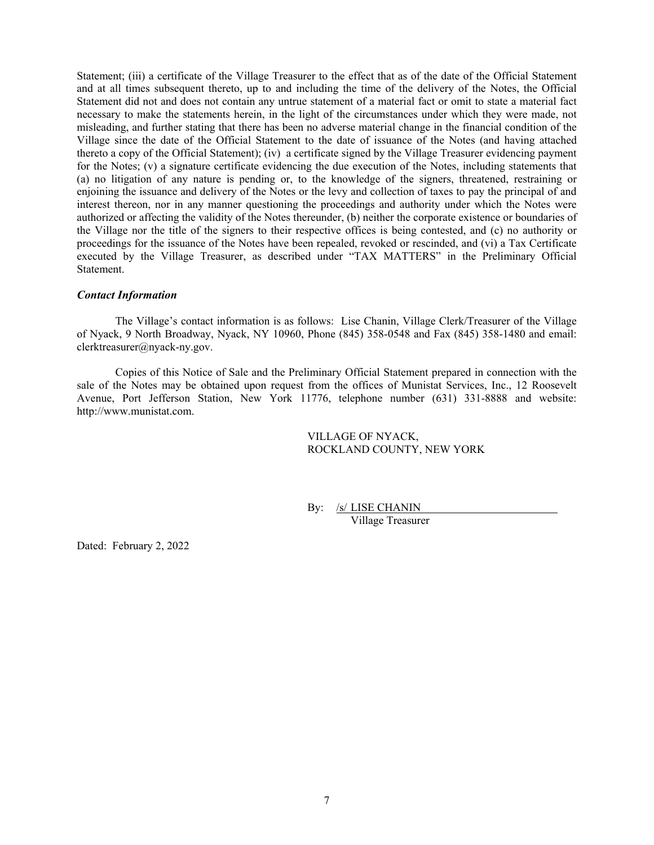Statement; (iii) a certificate of the Village Treasurer to the effect that as of the date of the Official Statement and at all times subsequent thereto, up to and including the time of the delivery of the Notes, the Official Statement did not and does not contain any untrue statement of a material fact or omit to state a material fact necessary to make the statements herein, in the light of the circumstances under which they were made, not misleading, and further stating that there has been no adverse material change in the financial condition of the Village since the date of the Official Statement to the date of issuance of the Notes (and having attached thereto a copy of the Official Statement); (iv) a certificate signed by the Village Treasurer evidencing payment for the Notes; (v) a signature certificate evidencing the due execution of the Notes, including statements that (a) no litigation of any nature is pending or, to the knowledge of the signers, threatened, restraining or enjoining the issuance and delivery of the Notes or the levy and collection of taxes to pay the principal of and interest thereon, nor in any manner questioning the proceedings and authority under which the Notes were authorized or affecting the validity of the Notes thereunder, (b) neither the corporate existence or boundaries of the Village nor the title of the signers to their respective offices is being contested, and (c) no authority or proceedings for the issuance of the Notes have been repealed, revoked or rescinded, and (vi) a Tax Certificate executed by the Village Treasurer, as described under "TAX MATTERS" in the Preliminary Official Statement.

#### *Contact Information*

The Village's contact information is as follows: Lise Chanin, Village Clerk/Treasurer of the Village of Nyack, 9 North Broadway, Nyack, NY 10960, Phone (845) 358-0548 and Fax (845) 358-1480 and email: clerktreasurer@nyack-ny.gov.

Copies of this Notice of Sale and the Preliminary Official Statement prepared in connection with the sale of the Notes may be obtained upon request from the offices of Munistat Services, Inc., 12 Roosevelt Avenue, Port Jefferson Station, New York 11776, telephone number (631) 331-8888 and website: http://www.munistat.com.

# VILLAGE OF NYACK, ROCKLAND COUNTY, NEW YORK

By: /s/ LISE CHANIN

Village Treasurer

Dated: February 2, 2022